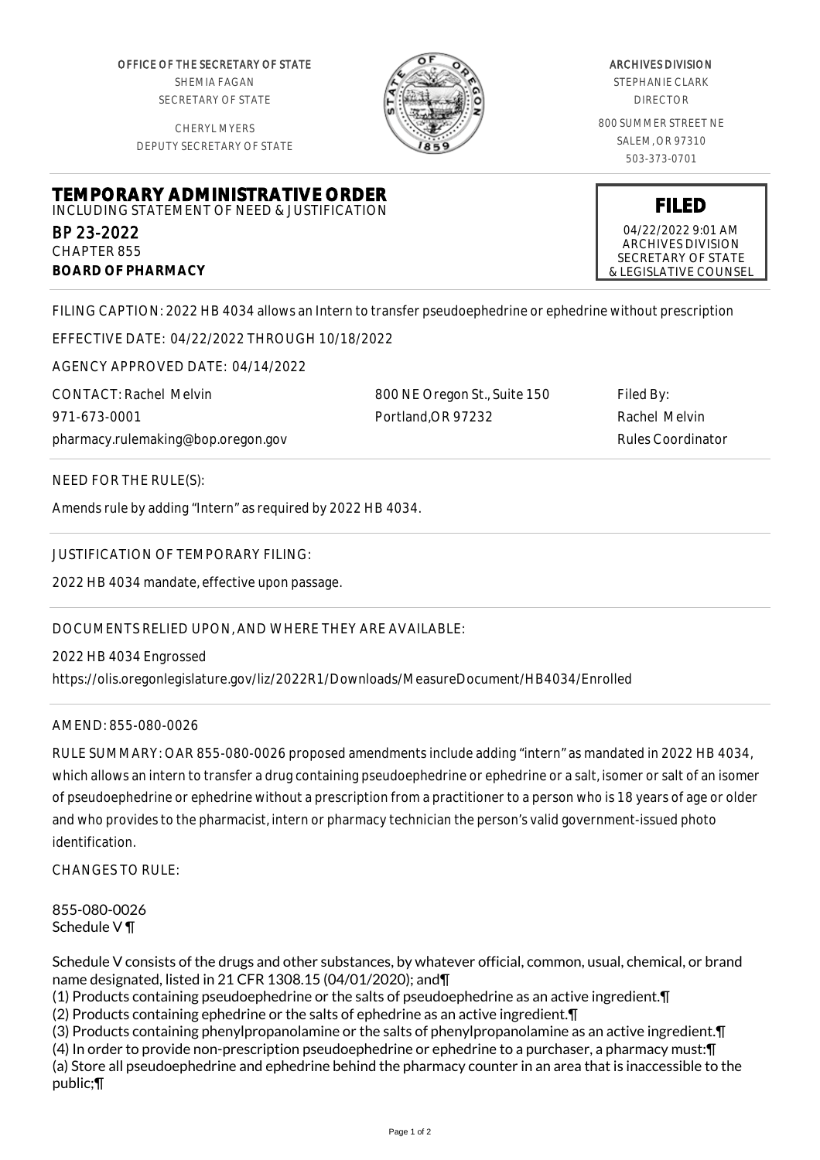OFFICE OF THE SECRETARY OF STATE SHEMIA FAGAN SECRETARY OF STATE

CHERYL MYERS DEPUTY SECRETARY OF STATE



## ARCHIVES DIVISION

STEPHANIE CLARK DIRECTOR

800 SUMMER STREET NE SALEM, OR 97310 503-373-0701

**FILED** 04/22/2022 9:01 AM ARCHIVES DIVISION SECRETARY OF STATE & LEGISLATIVE COUNSEL

**TEMPORARY ADMINISTRATIVE ORDER** INCLUDING STATEMENT OF NEED & JUSTIFICATION

BP 23-2022 CHAPTER 855 **BOARD OF PHARMACY**

FILING CAPTION: 2022 HB 4034 allows an Intern to transfer pseudoephedrine or ephedrine without prescription

EFFECTIVE DATE: 04/22/2022 THROUGH 10/18/2022

AGENCY APPROVED DATE: 04/14/2022

CONTACT: Rachel Melvin 971-673-0001 pharmacy.rulemaking@bop.oregon.gov 800 NE Oregon St., Suite 150 Portland,OR 97232

Filed By: Rachel Melvin Rules Coordinator

NEED FOR THE RULE(S):

Amends rule by adding "Intern" as required by 2022 HB 4034.

JUSTIFICATION OF TEMPORARY FILING:

2022 HB 4034 mandate, effective upon passage.

DOCUMENTS RELIED UPON, AND WHERE THEY ARE AVAILABLE:

2022 HB 4034 Engrossed https://olis.oregonlegislature.gov/liz/2022R1/Downloads/MeasureDocument/HB4034/Enrolled

AMEND: 855-080-0026

RULE SUMMARY: OAR 855-080-0026 proposed amendments include adding "intern" as mandated in 2022 HB 4034, which allows an intern to transfer a drug containing pseudoephedrine or ephedrine or a salt, isomer or salt of an isomer of pseudoephedrine or ephedrine without a prescription from a practitioner to a person who is 18 years of age or older and who provides to the pharmacist, intern or pharmacy technician the person's valid government-issued photo identification.

 $CHANGFS TO RIIF$ 

855-080-0026 Schedule V ¶

Schedule V consists of the drugs and other substances, by whatever official, common, usual, chemical, or brand name designated, listed in 21 CFR 1308.15 (04/01/2020); and¶

(1) Products containing pseudoephedrine or the salts of pseudoephedrine as an active ingredient.¶

(2) Products containing ephedrine or the salts of ephedrine as an active ingredient.¶

(3) Products containing phenylpropanolamine or the salts of phenylpropanolamine as an active ingredient.¶

(4) In order to provide non-prescription pseudoephedrine or ephedrine to a purchaser, a pharmacy must:¶ (a) Store all pseudoephedrine and ephedrine behind the pharmacy counter in an area that is inaccessible to the public;¶